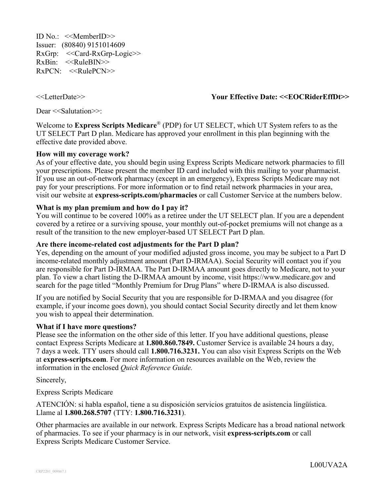ID No.: <<MemberID>> Issuer: (80840) 9151014609 RxGrp: <<Card-RxGrp-Logic>> RxBin: <<RuleBIN>>  $RxPCN: \leq RulepCN>>$ 

<<LetterDate>> **Your Effective Date: <<EOCRiderEffDt>>**

Dear <<Salutation>>:

Welcome to **Express Scripts Medicare**® (PDP) for UT SELECT, which UT System refers to as the UT SELECT Part D plan. Medicare has approved your enrollment in this plan beginning with the effective date provided above.

## **How will my coverage work?**

As of your effective date, you should begin using Express Scripts Medicare network pharmacies to fill your prescriptions. Please present the member ID card included with this mailing to your pharmacist. If you use an out-of-network pharmacy (except in an emergency), Express Scripts Medicare may not pay for your prescriptions. For more information or to find retail network pharmacies in your area, visit our website at **express-scripts.com/pharmacies** or call Customer Service at the numbers below.

#### **What is my plan premium and how do I pay it?**

You will continue to be covered 100% as a retiree under the UT SELECT plan. If you are a dependent covered by a retiree or a surviving spouse, your monthly out-of-pocket premiums will not change as a result of the transition to the new employer-based UT SELECT Part D plan.

#### **Are there income-related cost adjustments for the Part D plan?**

Yes, depending on the amount of your modified adjusted gross income, you may be subject to a Part D income-related monthly adjustment amount (Part D-IRMAA). Social Security will contact you if you are responsible for Part D-IRMAA. The Part D-IRMAA amount goes directly to Medicare, not to your plan. To view a chart listing the D-IRMAA amount by income, visit https://www.medicare.gov and search for the page titled "Monthly Premium for Drug Plans" where D-IRMAA is also discussed.

If you are notified by Social Security that you are responsible for D-IRMAA and you disagree (for example, if your income goes down), you should contact Social Security directly and let them know you wish to appeal their determination.

#### **What if I have more questions?**

Please see the information on the other side of this letter. If you have additional questions, please contact Express Scripts Medicare at **1.800.860.7849.** Customer Service is available 24 hours a day, 7 days a week. TTY users should call **1.800.716.3231.** You can also visit Express Scripts on the Web at **express-scripts.com**. For more information on resources available on the Web, review the information in the enclosed *Quick Reference Guide.*

Sincerely,

Express Scripts Medicare

ATENCIÓN: si habla español, tiene a su disposición servicios gratuitos de asistencia lingüística. Llame al **1.800.268.5707** (TTY: **1.800.716.3231**).

Other pharmacies are available in our network. Express Scripts Medicare has a broad national network of pharmacies. To see if your pharmacy is in our network, visit **express-scripts.com** or call Express Scripts Medicare Customer Service.